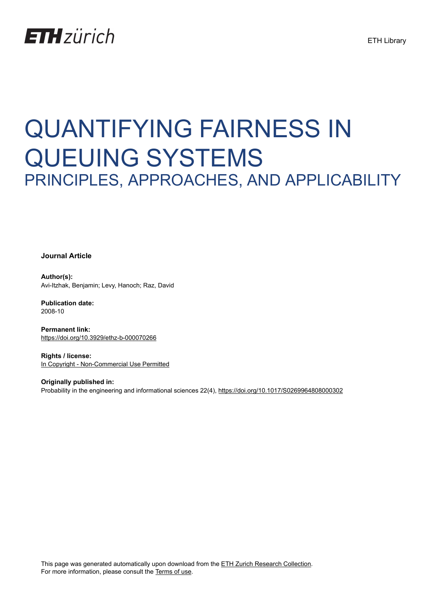## **ETH**zürich

# QUANTIFYING FAIRNESS IN QUEUING SYSTEMS PRINCIPLES, APPROACHES, AND APPLICABILITY

**Journal Article**

**Author(s):** Avi-Itzhak, Benjamin; Levy, Hanoch; Raz, David

**Publication date:** 2008-10

**Permanent link:** <https://doi.org/10.3929/ethz-b-000070266>

**Rights / license:** [In Copyright - Non-Commercial Use Permitted](http://rightsstatements.org/page/InC-NC/1.0/)

**Originally published in:** Probability in the engineering and informational sciences 22(4), <https://doi.org/10.1017/S0269964808000302>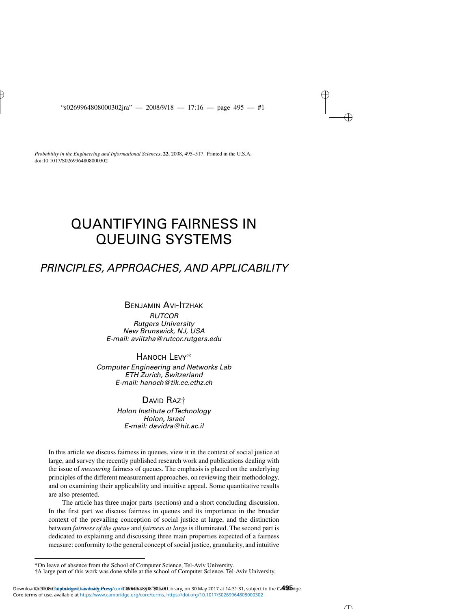*Probability in the Engineering and Informational Sciences*, **22**, 2008, 495–517. Printed in the U.S.A. doi:10.1017/S0269964808000302

### QUANTIFYING FAIRNESS IN QUEUING SYSTEMS

### *PRINCIPLES, APPROACHES, AND APPLICABILITY*

#### BENJAMIN AVI-ITZHAK *RUTCOR Rutgers University New Brunswick, NJ, USA E-mail: aviitzha@rutcor.rutgers.edu*

HANOCH LEVY\* *Computer Engineering and Networks Lab ETH Zurich, Switzerland E-mail: hanoch@tik.ee.ethz.ch*

#### DAVID RAZ†

*Holon Institute ofTechnology Holon, Israel E-mail: davidra@hit.ac.il*

In this article we discuss fairness in queues, view it in the context of social justice at large, and survey the recently published research work and publications dealing with the issue of *measuring* fairness of queues. The emphasis is placed on the underlying principles of the different measurement approaches, on reviewing their methodology, and on examining their applicability and intuitive appeal. Some quantitative results are also presented.

The article has three major parts (sections) and a short concluding discussion. In the first part we discuss fairness in queues and its importance in the broader context of the prevailing conception of social justice at large, and the distinction between *fairness of the queue* and *fairness at large* is illuminated. The second part is dedicated to explaining and discussing three main properties expected of a fairness measure: conformity to the general concept of social justice, granularity, and intuitive

<sup>\*</sup>On leave of absence from the School of Computer Science, Tel-Aviv University.

<sup>†</sup>A large part of this work was done while at the school of Computer Science, Tel-Aviv University.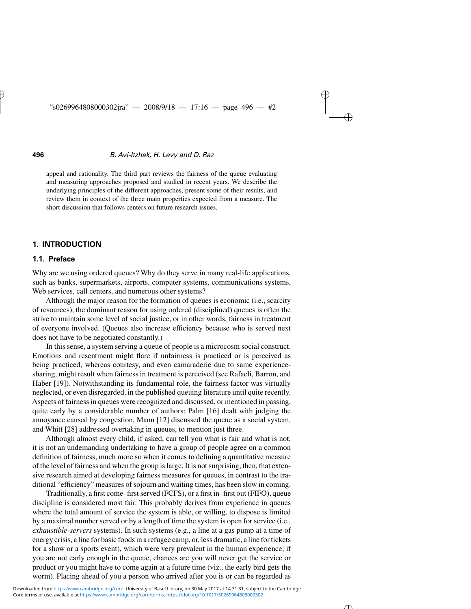appeal and rationality. The third part reviews the fairness of the queue evaluating and measuring approaches proposed and studied in recent years. We describe the underlying principles of the different approaches, present some of their results, and review them in context of the three main properties expected from a measure. The short discussion that follows centers on future research issues.

#### **1. INTRODUCTION**

#### **1.1. Preface**

Why are we using ordered queues? Why do they serve in many real-life applications, such as banks, supermarkets, airports, computer systems, communications systems, Web services, call centers, and numerous other systems?

Although the major reason for the formation of queues is economic (i.e., scarcity of resources), the dominant reason for using ordered (disciplined) queues is often the strive to maintain some level of social justice, or in other words, fairness in treatment of everyone involved. (Queues also increase efficiency because who is served next does not have to be negotiated constantly.)

In this sense, a system serving a queue of people is a microcosm social construct. Emotions and resentment might flare if unfairness is practiced or is perceived as being practiced, whereas courtesy, and even camaraderie due to same experiencesharing, might result when fairness in treatment is perceived (see Rafaeli, Barron, and Haber [19]). Notwithstanding its fundamental role, the fairness factor was virtually neglected, or even disregarded, in the published queuing literature until quite recently. Aspects of fairness in queues were recognized and discussed, or mentioned in passing, quite early by a considerable number of authors: Palm [16] dealt with judging the annoyance caused by congestion, Mann [12] discussed the queue as a social system, and Whitt [28] addressed overtaking in queues, to mention just three.

Although almost every child, if asked, can tell you what is fair and what is not, it is not an undemanding undertaking to have a group of people agree on a common definition of fairness, much more so when it comes to defining a quantitative measure of the level of fairness and when the group is large. It is not surprising, then, that extensive research aimed at developing fairness measures for queues, in contrast to the traditional "efficiency" measures of sojourn and waiting times, has been slow in coming.

Traditionally, a first come–first served (FCFS), or a first in–first out (FIFO), queue discipline is considered most fair. This probably derives from experience in queues where the total amount of service the system is able, or willing, to dispose is limited by a maximal number served or by a length of time the system is open for service (i.e., *exhaustible-servers* systems). In such systems (e.g., a line at a gas pump at a time of energy crisis, a line for basic foods in a refugee camp, or, less dramatic, a line for tickets for a show or a sports event), which were very prevalent in the human experience; if you are not early enough in the queue, chances are you will never get the service or product or you might have to come again at a future time (viz., the early bird gets the worm). Placing ahead of you a person who arrived after you is or can be regarded as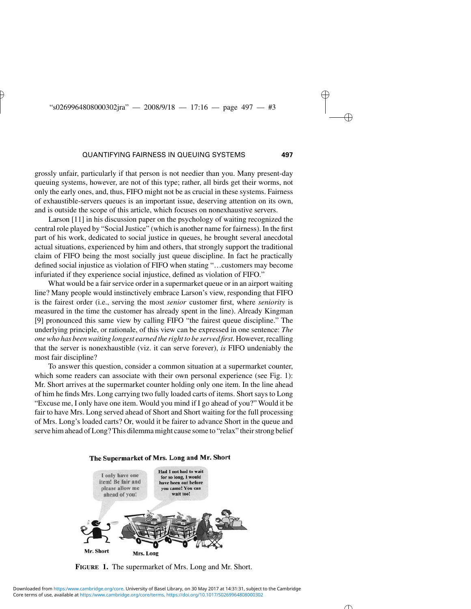grossly unfair, particularly if that person is not needier than you. Many present-day queuing systems, however, are not of this type; rather, all birds get their worms, not only the early ones, and, thus, FIFO might not be as crucial in these systems. Fairness of exhaustible-servers queues is an important issue, deserving attention on its own, and is outside the scope of this article, which focuses on nonexhaustive servers.

Larson [11] in his discussion paper on the psychology of waiting recognized the central role played by "Social Justice" (which is another name for fairness). In the first part of his work, dedicated to social justice in queues, he brought several anecdotal actual situations, experienced by him and others, that strongly support the traditional claim of FIFO being the most socially just queue discipline. In fact he practically defined social injustice as violation of FIFO when stating "…customers may become infuriated if they experience social injustice, defined as violation of FIFO."

What would be a fair service order in a supermarket queue or in an airport waiting line? Many people would instinctively embrace Larson's view, responding that FIFO is the fairest order (i.e., serving the most *senior* customer first, where *seniority* is measured in the time the customer has already spent in the line). Already Kingman [9] pronounced this same view by calling FIFO "the fairest queue discipline." The underlying principle, or rationale, of this view can be expressed in one sentence: *The one who has been waiting longest earned the right to be served first.* However, recalling that the server is nonexhaustible (viz. it can serve forever), *is* FIFO undeniably the most fair discipline?

To answer this question, consider a common situation at a supermarket counter, which some readers can associate with their own personal experience (see Fig. 1): Mr. Short arrives at the supermarket counter holding only one item. In the line ahead of him he finds Mrs. Long carrying two fully loaded carts of items. Short says to Long "Excuse me, I only have one item. Would you mind if I go ahead of you?" Would it be fair to have Mrs. Long served ahead of Short and Short waiting for the full processing of Mrs. Long's loaded carts? Or, would it be fairer to advance Short in the queue and serve him ahead of Long? This dilemma might cause some to "relax" their strong belief



**FIGURE 1.** The supermarket of Mrs. Long and Mr. Short.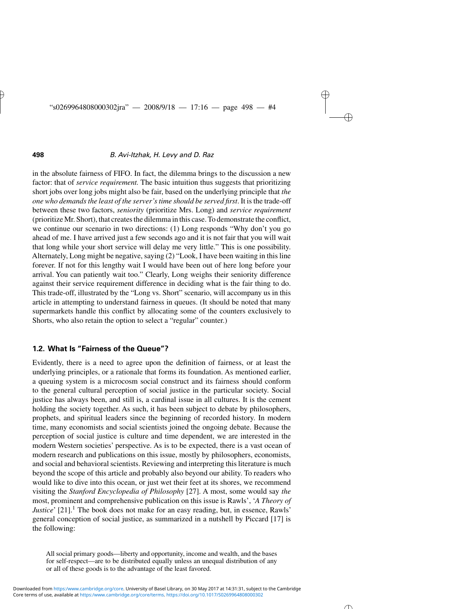in the absolute fairness of FIFO. In fact, the dilemma brings to the discussion a new factor: that of *service requirement.* The basic intuition thus suggests that prioritizing short jobs over long jobs might also be fair, based on the underlying principle that *the one who demands the least of the server's time should be served first*. It is the trade-off between these two factors, *seniority* (prioritize Mrs. Long) and *service requirement* (prioritize Mr. Short), that creates the dilemma in this case. To demonstrate the conflict, we continue our scenario in two directions: (1) Long responds "Why don't you go ahead of me. I have arrived just a few seconds ago and it is not fair that you will wait that long while your short service will delay me very little." This is one possibility. Alternately, Long might be negative, saying (2) "Look, I have been waiting in this line forever. If not for this lengthy wait I would have been out of here long before your arrival. You can patiently wait too." Clearly, Long weighs their seniority difference against their service requirement difference in deciding what is the fair thing to do. This trade-off, illustrated by the "Long vs. Short" scenario, will accompany us in this article in attempting to understand fairness in queues. (It should be noted that many supermarkets handle this conflict by allocating some of the counters exclusively to Shorts, who also retain the option to select a "regular" counter.)

#### **1.2. What Is "Fairness of the Queue"?**

Evidently, there is a need to agree upon the definition of fairness, or at least the underlying principles, or a rationale that forms its foundation. As mentioned earlier, a queuing system is a microcosm social construct and its fairness should conform to the general cultural perception of social justice in the particular society. Social justice has always been, and still is, a cardinal issue in all cultures. It is the cement holding the society together. As such, it has been subject to debate by philosophers, prophets, and spiritual leaders since the beginning of recorded history. In modern time, many economists and social scientists joined the ongoing debate. Because the perception of social justice is culture and time dependent, we are interested in the modern Western societies' perspective. As is to be expected, there is a vast ocean of modern research and publications on this issue, mostly by philosophers, economists, and social and behavioral scientists. Reviewing and interpreting this literature is much beyond the scope of this article and probably also beyond our ability. To readers who would like to dive into this ocean, or just wet their feet at its shores, we recommend visiting the *Stanford Encyclopedia of Philosophy* [27]. A most, some would say *the* most, prominent and comprehensive publication on this issue is Rawls', '*A Theory of Justice*' [21].<sup>1</sup> The book does not make for an easy reading, but, in essence, Rawls' general conception of social justice, as summarized in a nutshell by Piccard [17] is the following:

All social primary goods—liberty and opportunity, income and wealth, and the bases for self-respect—are to be distributed equally unless an unequal distribution of any or all of these goods is to the advantage of the least favored.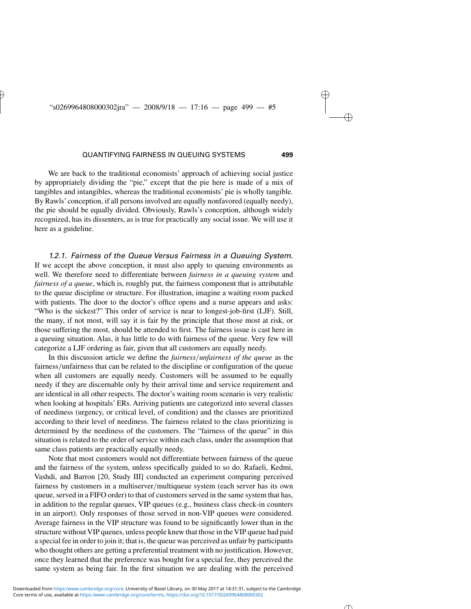We are back to the traditional economists' approach of achieving social justice by appropriately dividing the "pie," except that the pie here is made of a mix of tangibles and intangibles, whereas the traditional economists' pie is wholly tangible. By Rawls'conception, if all persons involved are equally nonfavored (equally needy), the pie should be equally divided. Obviously, Rawls's conception, although widely recognized, has its dissenters, as is true for practically any social issue. We will use it here as a guideline.

*1.2.1. Fairness of the Queue Versus Fairness in a Queuing System.* If we accept the above conception, it must also apply to queuing environments as well. We therefore need to differentiate between *fairness in a queuing system* and *fairness of a queue*, which is, roughly put, the fairness component that is attributable to the queue discipline or structure. For illustration, imagine a waiting room packed with patients. The door to the doctor's office opens and a nurse appears and asks: "Who is the sickest?" This order of service is near to longest-job-first (LJF). Still, the many, if not most, will say it is fair by the principle that those most at risk, or those suffering the most, should be attended to first. The fairness issue is cast here in a queuing situation. Alas, it has little to do with fairness of the queue. Very few will categorize a LJF ordering as fair, given that all customers are equally needy.

In this discussion article we define the *fairness/unfairness of the queue* as the fairness*/*unfairness that can be related to the discipline or configuration of the queue when all customers are equally needy. Customers will be assumed to be equally needy if they are discernable only by their arrival time and service requirement and are identical in all other respects. The doctor's waiting room scenario is very realistic when looking at hospitals' ERs. Arriving patients are categorized into several classes of neediness (urgency, or critical level, of condition) and the classes are prioritized according to their level of neediness. The fairness related to the class prioritizing is determined by the neediness of the customers. The "fairness of the queue" in this situation is related to the order of service within each class, under the assumption that same class patients are practically equally needy.

Note that most customers would not differentiate between fairness of the queue and the fairness of the system, unless specifically guided to so do. Rafaeli, Kedmi, Vashdi, and Barron [20, Study III] conducted an experiment comparing perceived fairness by customers in a multiserver*/*multiqueue system (each server has its own queue, served in a FIFO order) to that of customers served in the same system that has, in addition to the regular queues, VIP queues (e.g., business class check-in counters in an airport). Only responses of those served in non-VIP queues were considered. Average fairness in the VIP structure was found to be significantly lower than in the structure without VIP queues, unless people knew that those in the VIP queue had paid a special fee in order to join it; that is, the queue was perceived as unfair by participants who thought others are getting a preferential treatment with no justification. However, once they learned that the preference was bought for a special fee, they perceived the same system as being fair. In the first situation we are dealing with the perceived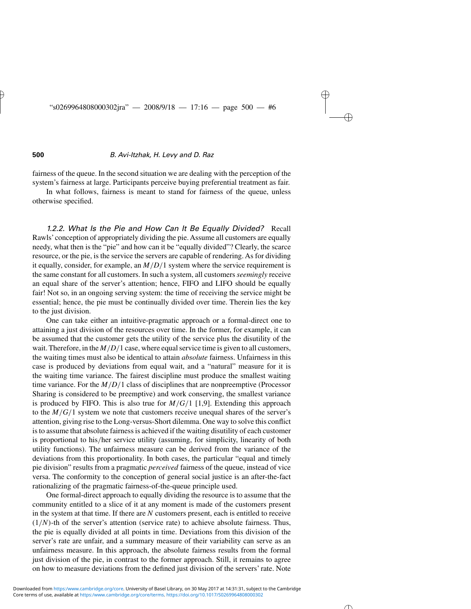fairness of the queue. In the second situation we are dealing with the perception of the system's fairness at large. Participants perceive buying preferential treatment as fair.

In what follows, fairness is meant to stand for fairness of the queue, unless otherwise specified.

*1.2.2. What Is the Pie and How Can It Be Equally Divided?* Recall Rawls'conception of appropriately dividing the pie. Assume all customers are equally needy, what then is the "pie" and how can it be "equally divided"? Clearly, the scarce resource, or the pie, is the service the servers are capable of rendering. As for dividing it equally, consider, for example, an *M/D/*1 system where the service requirement is the same constant for all customers. In such a system, all customers *seemingly* receive an equal share of the server's attention; hence, FIFO and LIFO should be equally fair! Not so, in an ongoing serving system: the time of receiving the service might be essential; hence, the pie must be continually divided over time. Therein lies the key to the just division.

One can take either an intuitive-pragmatic approach or a formal-direct one to attaining a just division of the resources over time. In the former, for example, it can be assumed that the customer gets the utility of the service plus the disutility of the wait. Therefore, in the *M/D/*1 case, where equal service time is given to all customers, the waiting times must also be identical to attain *absolute* fairness. Unfairness in this case is produced by deviations from equal wait, and a "natural" measure for it is the waiting time variance. The fairest discipline must produce the smallest waiting time variance. For the  $M/D/1$  class of disciplines that are nonpreemptive (Processor Sharing is considered to be preemptive) and work conserving, the smallest variance is produced by FIFO. This is also true for *M/G/*1 [1,9]. Extending this approach to the  $M/G/1$  system we note that customers receive unequal shares of the server's attention, giving rise to the Long-versus-Short dilemma. One way to solve this conflict is to assume that absolute fairness is achieved if the waiting disutility of each customer is proportional to his*/*her service utility (assuming, for simplicity, linearity of both utility functions). The unfairness measure can be derived from the variance of the deviations from this proportionality. In both cases, the particular "equal and timely pie division" results from a pragmatic *perceived* fairness of the queue, instead of vice versa. The conformity to the conception of general social justice is an after-the-fact rationalizing of the pragmatic fairness-of-the-queue principle used.

One formal-direct approach to equally dividing the resource is to assume that the community entitled to a slice of it at any moment is made of the customers present in the system at that time. If there are *N* customers present, each is entitled to receive  $(1/N)$ -th of the server's attention (service rate) to achieve absolute fairness. Thus, the pie is equally divided at all points in time. Deviations from this division of the server's rate are unfair, and a summary measure of their variability can serve as an unfairness measure. In this approach, the absolute fairness results from the formal just division of the pie, in contrast to the former approach. Still, it remains to agree on how to measure deviations from the defined just division of the servers' rate. Note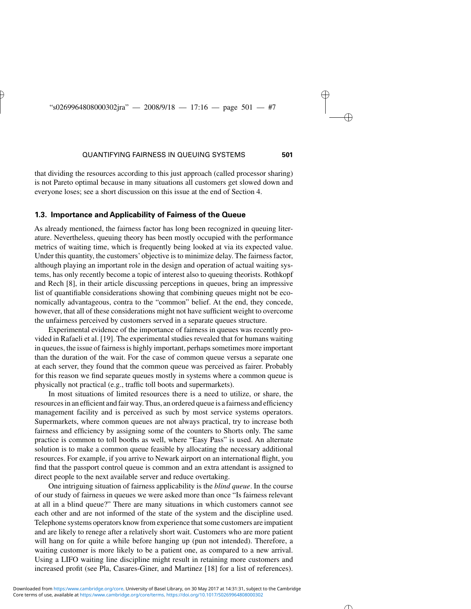that dividing the resources according to this just approach (called processor sharing) is not Pareto optimal because in many situations all customers get slowed down and everyone loses; see a short discussion on this issue at the end of Section 4.

#### **1.3. Importance and Applicability of Fairness of the Queue**

As already mentioned, the fairness factor has long been recognized in queuing literature. Nevertheless, queuing theory has been mostly occupied with the performance metrics of waiting time, which is frequently being looked at via its expected value. Under this quantity, the customers' objective is to minimize delay. The fairness factor, although playing an important role in the design and operation of actual waiting systems, has only recently become a topic of interest also to queuing theorists. Rothkopf and Rech [8], in their article discussing perceptions in queues, bring an impressive list of quantifiable considerations showing that combining queues might not be economically advantageous, contra to the "common" belief. At the end, they concede, however, that all of these considerations might not have sufficient weight to overcome the unfairness perceived by customers served in a separate queues structure.

Experimental evidence of the importance of fairness in queues was recently provided in Rafaeli et al. [19]. The experimental studies revealed that for humans waiting in queues, the issue of fairness is highly important, perhaps sometimes more important than the duration of the wait. For the case of common queue versus a separate one at each server, they found that the common queue was perceived as fairer. Probably for this reason we find separate queues mostly in systems where a common queue is physically not practical (e.g., traffic toll boots and supermarkets).

In most situations of limited resources there is a need to utilize, or share, the resources in an efficient and fair way. Thus, an ordered queue is a fairness and efficiency management facility and is perceived as such by most service systems operators. Supermarkets, where common queues are not always practical, try to increase both fairness and efficiency by assigning some of the counters to Shorts only. The same practice is common to toll booths as well, where "Easy Pass" is used. An alternate solution is to make a common queue feasible by allocating the necessary additional resources. For example, if you arrive to Newark airport on an international flight, you find that the passport control queue is common and an extra attendant is assigned to direct people to the next available server and reduce overtaking.

One intriguing situation of fairness applicability is the *blind queue*. In the course of our study of fairness in queues we were asked more than once "Is fairness relevant at all in a blind queue?" There are many situations in which customers cannot see each other and are not informed of the state of the system and the discipline used. Telephone systems operators know from experience that some customers are impatient and are likely to renege after a relatively short wait. Customers who are more patient will hang on for quite a while before hanging up (pun not intended). Therefore, a waiting customer is more likely to be a patient one, as compared to a new arrival. Using a LIFO waiting line discipline might result in retaining more customers and increased profit (see Pla, Casares-Giner, and Martinez [18] for a list of references).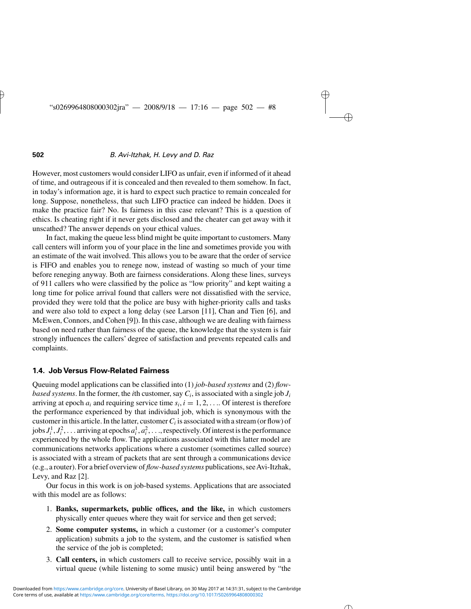However, most customers would consider LIFO as unfair, even if informed of it ahead of time, and outrageous if it is concealed and then revealed to them somehow. In fact, in today's information age, it is hard to expect such practice to remain concealed for long. Suppose, nonetheless, that such LIFO practice can indeed be hidden. Does it make the practice fair? No. Is fairness in this case relevant? This is a question of ethics. Is cheating right if it never gets disclosed and the cheater can get away with it unscathed? The answer depends on your ethical values.

In fact, making the queue less blind might be quite important to customers. Many call centers will inform you of your place in the line and sometimes provide you with an estimate of the wait involved. This allows you to be aware that the order of service is FIFO and enables you to renege now, instead of wasting so much of your time before reneging anyway. Both are fairness considerations. Along these lines, surveys of 911 callers who were classified by the police as "low priority" and kept waiting a long time for police arrival found that callers were not dissatisfied with the service, provided they were told that the police are busy with higher-priority calls and tasks and were also told to expect a long delay (see Larson [11], Chan and Tien [6], and McEwen, Connors, and Cohen [9]). In this case, although we are dealing with fairness based on need rather than fairness of the queue, the knowledge that the system is fair strongly influences the callers' degree of satisfaction and prevents repeated calls and complaints.

#### **1.4. Job Versus Flow-Related Fairness**

Queuing model applications can be classified into (1) *job-based systems* and (2) *flowbased systems*. In the former, the *i*th customer, say  $C_i$ , is associated with a single job  $J_i$ arriving at epoch  $a_i$  and requiring service time  $s_i$ ,  $i = 1, 2, \ldots$  Of interest is therefore the performance experienced by that individual job, which is synonymous with the customer in this article. In the latter, customer*Ci* is associated with a stream (or flow) of jobs  $J_i^1, J_i^2, \ldots$  arriving at epochs  $a_i^1, a_i^2, \ldots$ , respectively. Of interest is the performance experienced by the whole flow. The applications associated with this latter model are communications networks applications where a customer (sometimes called source) is associated with a stream of packets that are sent through a communications device (e.g., a router). For a brief overview of *flow-based systems* publications, seeAvi-Itzhak, Levy, and Raz [2].

Our focus in this work is on job-based systems. Applications that are associated with this model are as follows:

- 1. **Banks, supermarkets, public offices, and the like,** in which customers physically enter queues where they wait for service and then get served;
- 2. **Some computer systems,** in which a customer (or a customer's computer application) submits a job to the system, and the customer is satisfied when the service of the job is completed;
- 3. **Call centers,** in which customers call to receive service, possibly wait in a virtual queue (while listening to some music) until being answered by "the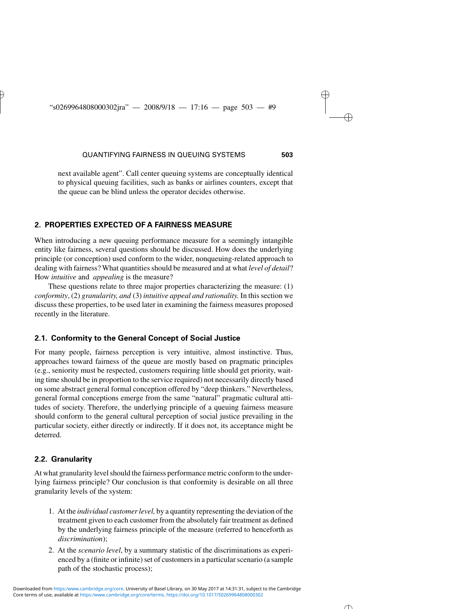next available agent". Call center queuing systems are conceptually identical to physical queuing facilities, such as banks or airlines counters, except that the queue can be blind unless the operator decides otherwise.

#### **2. PROPERTIES EXPECTED OF A FAIRNESS MEASURE**

When introducing a new queuing performance measure for a seemingly intangible entity like fairness, several questions should be discussed. How does the underlying principle (or conception) used conform to the wider, nonqueuing-related approach to dealing with fairness? What quantities should be measured and at what *level of detail*? How *intuitive* and *appealing* is the measure?

These questions relate to three major properties characterizing the measure: (1) *conformity*, (2) *granularity, and* (3) *intuitive appeal and rationality.* In this section we discuss these properties, to be used later in examining the fairness measures proposed recently in the literature.

#### **2.1. Conformity to the General Concept of Social Justice**

For many people, fairness perception is very intuitive, almost instinctive. Thus, approaches toward fairness of the queue are mostly based on pragmatic principles (e.g., seniority must be respected, customers requiring little should get priority, waiting time should be in proportion to the service required) not necessarily directly based on some abstract general formal conception offered by "deep thinkers." Nevertheless, general formal conceptions emerge from the same "natural" pragmatic cultural attitudes of society. Therefore, the underlying principle of a queuing fairness measure should conform to the general cultural perception of social justice prevailing in the particular society, either directly or indirectly. If it does not, its acceptance might be deterred.

#### **2.2. Granularity**

At what granularity level should the fairness performance metric conform to the underlying fairness principle? Our conclusion is that conformity is desirable on all three granularity levels of the system:

- 1. At the *individual customer level,* by a quantity representing the deviation of the treatment given to each customer from the absolutely fair treatment as defined by the underlying fairness principle of the measure (referred to henceforth as *discrimination*);
- 2. At the *scenario level*, by a summary statistic of the discriminations as experienced by a (finite or infinite) set of customers in a particular scenario (a sample path of the stochastic process);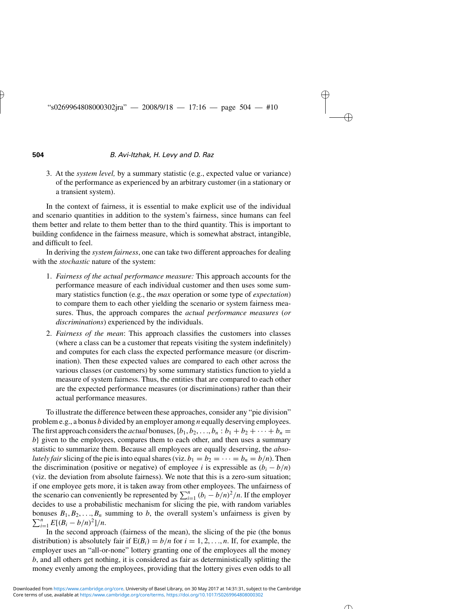3. At the *system level,* by a summary statistic (e.g., expected value or variance) of the performance as experienced by an arbitrary customer (in a stationary or a transient system).

In the context of fairness, it is essential to make explicit use of the individual and scenario quantities in addition to the system's fairness, since humans can feel them better and relate to them better than to the third quantity. This is important to building confidence in the fairness measure, which is somewhat abstract, intangible, and difficult to feel.

In deriving the *system fairness*, one can take two different approaches for dealing with the *stochastic* nature of the system:

- 1. *Fairness of the actual performance measure:* This approach accounts for the performance measure of each individual customer and then uses some summary statistics function (e.g., the *max* operation or some type of *expectation*) to compare them to each other yielding the scenario or system fairness measures. Thus, the approach compares the *actual performance measures* (*or discriminations*) experienced by the individuals.
- 2. *Fairness of the mean*: This approach classifies the customers into classes (where a class can be a customer that repeats visiting the system indefinitely) and computes for each class the expected performance measure (or discrimination). Then these expected values are compared to each other across the various classes (or customers) by some summary statistics function to yield a measure of system fairness. Thus, the entities that are compared to each other are the expected performance measures (or discriminations) rather than their actual performance measures.

To illustrate the difference between these approaches, consider any "pie division" problem e.g., a bonus *b* divided by an employer among *n* equally deserving employees. The first approach considers the *actual* bonuses,  $\{b_1, b_2, \ldots, b_n : b_1 + b_2 + \cdots + b_n =$ *b*} given to the employees, compares them to each other, and then uses a summary statistic to summarize them. Because all employees are equally deserving, the *absolutely fair* slicing of the pie is into equal shares (viz.  $b_1 = b_2 = \cdots = b_n = b/n$ ). Then the discrimination (positive or negative) of employee *i* is expressible as  $(b_i - b/n)$ (viz. the deviation from absolute fairness). We note that this is a zero-sum situation; if one employee gets more, it is taken away from other employees. The unfairness of the scenario can conveniently be represented by  $\sum_{i=1}^{n} (b_i - b/n)^2/n$ . If the employer decides to use a probabilistic mechanism for slicing the pie, with random variables  $\sum_{i=1}^{n} E[(B_i - b/n)^2]/n$ . bonuses  $B_1, B_2, \ldots, B_n$  summing to *b*, the overall system's unfairness is given by

In the second approach (fairness of the mean), the slicing of the pie (the bonus distribution) is absolutely fair if  $E(B_i) = b/n$  for  $i = 1, 2, ..., n$ . If, for example, the employer uses an "all-or-none" lottery granting one of the employees all the money *b*, and all others get nothing, it is considered as fair as deterministically splitting the money evenly among the employees, providing that the lottery gives even odds to all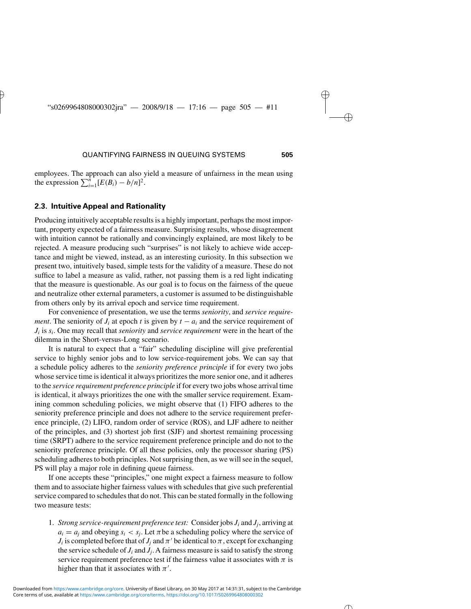employees. The approach can also yield a measure of unfairness in the mean using the expression  $\sum_{i=1}^{n} [E(B_i) - b/n]^2$ .

#### **2.3. Intuitive Appeal and Rationality**

Producing intuitively acceptable results is a highly important, perhaps the most important, property expected of a fairness measure. Surprising results, whose disagreement with intuition cannot be rationally and convincingly explained, are most likely to be rejected. A measure producing such "surprises" is not likely to achieve wide acceptance and might be viewed, instead, as an interesting curiosity. In this subsection we present two, intuitively based, simple tests for the validity of a measure. These do not suffice to label a measure as valid, rather, not passing them is a red light indicating that the measure is questionable. As our goal is to focus on the fairness of the queue and neutralize other external parameters, a customer is assumed to be distinguishable from others only by its arrival epoch and service time requirement.

For convenience of presentation, we use the terms *seniority*, and *service requirement*. The seniority of  $J_i$  at epoch *t* is given by  $t - a_i$  and the service requirement of *Ji* is *si*. One may recall that *seniority* and *service requirement* were in the heart of the dilemma in the Short-versus-Long scenario.

It is natural to expect that a "fair" scheduling discipline will give preferential service to highly senior jobs and to low service-requirement jobs. We can say that a schedule policy adheres to the *seniority preference principle* if for every two jobs whose service time is identical it always prioritizes the more senior one, and it adheres to the *service requirement preference principle* if for every two jobs whose arrival time is identical, it always prioritizes the one with the smaller service requirement. Examining common scheduling policies, we might observe that (1) FIFO adheres to the seniority preference principle and does not adhere to the service requirement preference principle, (2) LIFO, random order of service (ROS), and LJF adhere to neither of the principles, and (3) shortest job first (SJF) and shortest remaining processing time (SRPT) adhere to the service requirement preference principle and do not to the seniority preference principle. Of all these policies, only the processor sharing (PS) scheduling adheres to both principles. Not surprising then, as we will see in the sequel, PS will play a major role in defining queue fairness.

If one accepts these "principles," one might expect a fairness measure to follow them and to associate higher fairness values with schedules that give such preferential service compared to schedules that do not. This can be stated formally in the following two measure tests:

1. *Strong service-requirement preference test:* Consider jobs *Ji* and *Jj*, arriving at  $a_i = a_j$  and obeying  $s_i < s_j$ . Let  $\pi$  be a scheduling policy where the service of *J<sub>i</sub>* is completed before that of *J<sub>j</sub>* and  $\pi'$  be identical to  $\pi$ , except for exchanging the service schedule of  $J_i$  and  $J_i$ . A fairness measure is said to satisfy the strong service requirement preference test if the fairness value it associates with  $\pi$  is higher than that it associates with  $\pi'$ .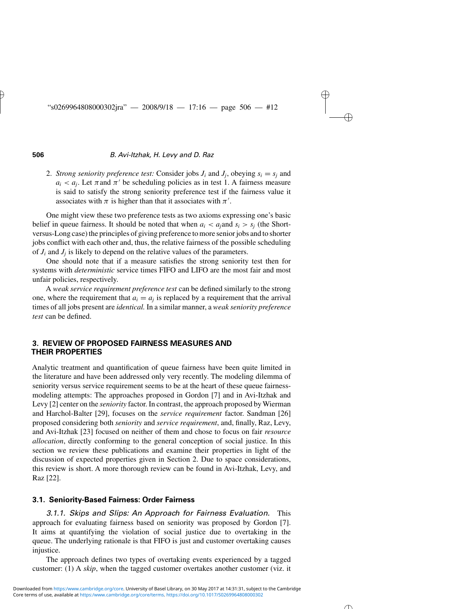2. *Strong seniority preference test:* Consider jobs  $J_i$  and  $J_j$ , obeying  $s_i = s_j$  and  $a_i < a_j$ . Let  $\pi$  and  $\pi'$  be scheduling policies as in test 1. A fairness measure is said to satisfy the strong seniority preference test if the fairness value it associates with  $\pi$  is higher than that it associates with  $\pi'$ .

One might view these two preference tests as two axioms expressing one's basic belief in queue fairness. It should be noted that when  $a_i < a_i$  and  $s_i > s_i$  (the Shortversus-Long case) the principles of giving preference to more senior jobs and to shorter jobs conflict with each other and, thus, the relative fairness of the possible scheduling of  $J_i$  and  $J_j$  is likely to depend on the relative values of the parameters.

One should note that if a measure satisfies the strong seniority test then for systems with *deterministic* service times FIFO and LIFO are the most fair and most unfair policies, respectively.

A *weak service requirement preference test* can be defined similarly to the strong one, where the requirement that  $a_i = a_j$  is replaced by a requirement that the arrival times of all jobs present are *identical.* In a similar manner, a *weak seniority preference test* can be defined.

#### **3. REVIEW OF PROPOSED FAIRNESS MEASURES AND THEIR PROPERTIES**

Analytic treatment and quantification of queue fairness have been quite limited in the literature and have been addressed only very recently. The modeling dilemma of seniority versus service requirement seems to be at the heart of these queue fairnessmodeling attempts: The approaches proposed in Gordon [7] and in Avi-Itzhak and Levy [2] center on the *seniority* factor. In contrast, the approach proposed by Wierman and Harchol-Balter [29], focuses on the *service requirement* factor. Sandman [26] proposed considering both *seniority* and *service requirement*, and, finally, Raz, Levy, and Avi-Itzhak [23] focused on neither of them and chose to focus on fair *resource allocation*, directly conforming to the general conception of social justice. In this section we review these publications and examine their properties in light of the discussion of expected properties given in Section 2. Due to space considerations, this review is short. A more thorough review can be found in Avi-Itzhak, Levy, and Raz [22].

#### **3.1. Seniority-Based Fairness: Order Fairness**

*3.1.1. Skips and Slips: An Approach for Fairness Evaluation.* This approach for evaluating fairness based on seniority was proposed by Gordon [7]. It aims at quantifying the violation of social justice due to overtaking in the queue. The underlying rationale is that FIFO is just and customer overtaking causes injustice.

The approach defines two types of overtaking events experienced by a tagged customer: (1) A *skip*, when the tagged customer overtakes another customer (viz. it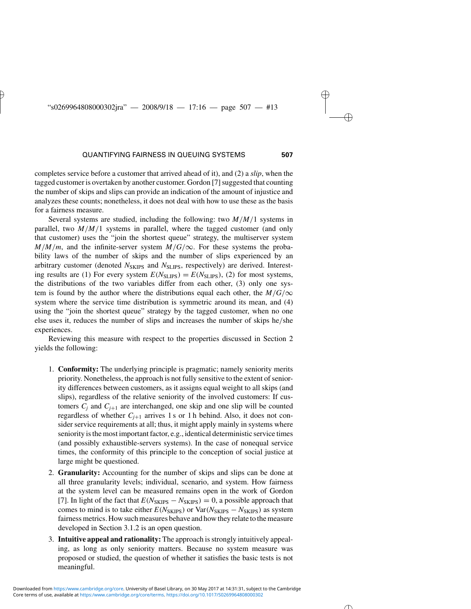completes service before a customer that arrived ahead of it), and (2) a *slip*, when the tagged customer is overtaken by another customer. Gordon [7] suggested that counting the number of skips and slips can provide an indication of the amount of injustice and analyzes these counts; nonetheless, it does not deal with how to use these as the basis for a fairness measure.

Several systems are studied, including the following: two *M/M/*1 systems in parallel, two  $M/M/1$  systems in parallel, where the tagged customer (and only that customer) uses the "join the shortest queue" strategy, the multiserver system  $M/M/m$ , and the infinite-server system  $M/G/\infty$ . For these systems the probability laws of the number of skips and the number of slips experienced by an arbitrary customer (denoted  $N<sub>SKIPS</sub>$  and  $N<sub>SLIPS</sub>$ , respectively) are derived. Interesting results are (1) For every system  $E(N_{\text{SLIPS}}) = E(N_{\text{SLIPS}})$ , (2) for most systems, the distributions of the two variables differ from each other, (3) only one system is found by the author where the distributions equal each other, the  $M/G/\infty$ system where the service time distribution is symmetric around its mean, and (4) using the "join the shortest queue" strategy by the tagged customer, when no one else uses it, reduces the number of slips and increases the number of skips he*/*she experiences.

Reviewing this measure with respect to the properties discussed in Section 2 yields the following:

- 1. **Conformity:** The underlying principle is pragmatic; namely seniority merits priority. Nonetheless, the approach is not fully sensitive to the extent of seniority differences between customers, as it assigns equal weight to all skips (and slips), regardless of the relative seniority of the involved customers: If customers  $C_i$  and  $C_{i+1}$  are interchanged, one skip and one slip will be counted regardless of whether  $C_{i+1}$  arrives 1 s or 1 h behind. Also, it does not consider service requirements at all; thus, it might apply mainly in systems where seniority is the most important factor, e.g., identical deterministic service times (and possibly exhaustible-servers systems). In the case of nonequal service times, the conformity of this principle to the conception of social justice at large might be questioned.
- 2. **Granularity:** Accounting for the number of skips and slips can be done at all three granularity levels; individual, scenario, and system. How fairness at the system level can be measured remains open in the work of Gordon [7]. In light of the fact that  $E(N_{SKIPS} - N_{SKIPS}) = 0$ , a possible approach that comes to mind is to take either  $E(N_{SKIPS})$  or  $Var(N_{SKIPS} - N_{SKIPS})$  as system fairness metrics. How such measures behave and how they relate to the measure developed in Section 3.1.2 is an open question.
- 3. **Intuitive appeal and rationality:** The approach is strongly intuitively appealing, as long as only seniority matters. Because no system measure was proposed or studied, the question of whether it satisfies the basic tests is not meaningful.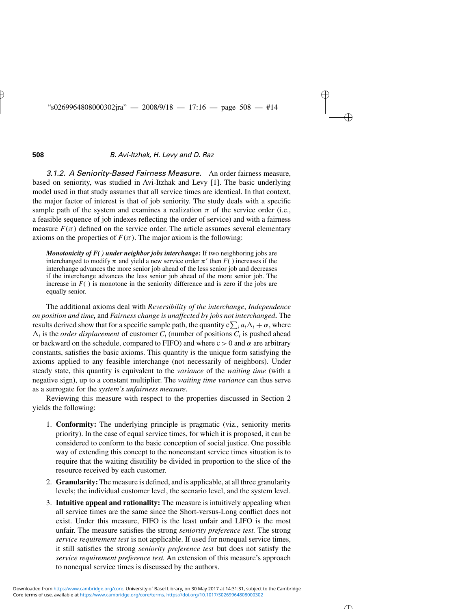*3.1.2. A Seniority-Based Fairness Measure.* An order fairness measure, based on seniority, was studied in Avi-Itzhak and Levy [1]. The basic underlying model used in that study assumes that all service times are identical. In that context, the major factor of interest is that of job seniority. The study deals with a specific sample path of the system and examines a realization  $\pi$  of the service order (i.e., a feasible sequence of job indexes reflecting the order of service) and with a fairness measure  $F(\pi)$  defined on the service order. The article assumes several elementary axioms on the properties of  $F(\pi)$ . The major axiom is the following:

*Monotonicity of F( ) under neighbor jobs interchange***:** If two neighboring jobs are interchanged to modify  $\pi$  and yield a new service order  $\pi'$  then  $F()$  increases if the interchange advances the more senior job ahead of the less senior job and decreases if the interchange advances the less senior job ahead of the more senior job. The increase in  $F()$  is monotone in the seniority difference and is zero if the jobs are equally senior.

The additional axioms deal with *Reversibility of the interchange*, *Independence on position and time,* and *Fairness change is unaffected by jobs not interchanged.* The results derived show that for a specific sample path, the quantity  $c\sum_{i} a_{i}\Delta_{i} + \alpha$ , where  $\Delta_i$  is the *order displacement* of customer  $C_i$  (number of positions  $\overline{C_i}$  is pushed ahead or backward on the schedule, compared to FIFO) and where  $c > 0$  and  $\alpha$  are arbitrary constants, satisfies the basic axioms. This quantity is the unique form satisfying the axioms applied to any feasible interchange (not necessarily of neighbors). Under steady state, this quantity is equivalent to the *variance* of the *waiting time* (with a negative sign), up to a constant multiplier. The *waiting time variance* can thus serve as a surrogate for the *system's unfairness measure*.

Reviewing this measure with respect to the properties discussed in Section 2 yields the following:

- 1. **Conformity:** The underlying principle is pragmatic (viz., seniority merits priority). In the case of equal service times, for which it is proposed, it can be considered to conform to the basic conception of social justice. One possible way of extending this concept to the nonconstant service times situation is to require that the waiting disutility be divided in proportion to the slice of the resource received by each customer.
- 2. **Granularity:**The measure is defined, and is applicable, at all three granularity levels; the individual customer level, the scenario level, and the system level.
- 3. **Intuitive appeal and rationality:** The measure is intuitively appealing when all service times are the same since the Short-versus-Long conflict does not exist. Under this measure, FIFO is the least unfair and LIFO is the most unfair. The measure satisfies the strong *seniority preference test.* The strong *service requirement test* is not applicable. If used for nonequal service times, it still satisfies the strong *seniority preference test* but does not satisfy the *service requirement preference test.* An extension of this measure's approach to nonequal service times is discussed by the authors.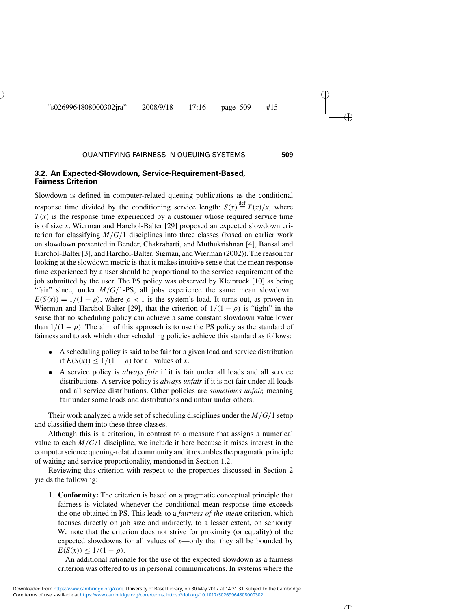#### **3.2. An Expected-Slowdown, Service-Requirement-Based, Fairness Criterion**

Slowdown is defined in computer-related queuing publications as the conditional response time divided by the conditioning service length:  $S(x) \stackrel{\text{def}}{=} T(x)/x$ , where  $T(x)$  is the response time experienced by a customer whose required service time is of size *x*. Wierman and Harchol-Balter [29] proposed an expected slowdown criterion for classifying  $M/G/1$  disciplines into three classes (based on earlier work on slowdown presented in Bender, Chakrabarti, and Muthukrishnan [4], Bansal and Harchol-Balter [3], and Harchol-Balter, Sigman, and Wierman (2002)). The reason for looking at the slowdown metric is that it makes intuitive sense that the mean response time experienced by a user should be proportional to the service requirement of the job submitted by the user. The PS policy was observed by Kleinrock [10] as being "fair" since, under  $M/G/1-PS$ , all jobs experience the same mean slowdown:  $E(S(x)) = 1/(1 - \rho)$ , where  $\rho < 1$  is the system's load. It turns out, as proven in Wierman and Harchol-Balter [29], that the criterion of  $1/(1 - \rho)$  is "tight" in the sense that no scheduling policy can achieve a same constant slowdown value lower than  $1/(1 - \rho)$ . The aim of this approach is to use the PS policy as the standard of fairness and to ask which other scheduling policies achieve this standard as follows:

- A scheduling policy is said to be fair for a given load and service distribution if  $E(S(x)) \leq 1/(1 - \rho)$  for all values of *x*.
- A service policy is *always fair* if it is fair under all loads and all service distributions. A service policy is *always unfair* if it is not fair under all loads and all service distributions. Other policies are *sometimes unfair,* meaning fair under some loads and distributions and unfair under others.

Their work analyzed a wide set of scheduling disciplines under the *M/G/*1 setup and classified them into these three classes.

Although this is a criterion, in contrast to a measure that assigns a numerical value to each  $M/G/1$  discipline, we include it here because it raises interest in the computer science queuing-related community and it resembles the pragmatic principle of waiting and service proportionality, mentioned in Section 1.2.

Reviewing this criterion with respect to the properties discussed in Section 2 yields the following:

1. **Conformity:** The criterion is based on a pragmatic conceptual principle that fairness is violated whenever the conditional mean response time exceeds the one obtained in PS. This leads to a *fairness-of-the-mean* criterion, which focuses directly on job size and indirectly, to a lesser extent, on seniority. We note that the criterion does not strive for proximity (or equality) of the expected slowdowns for all values of  $x$ —only that they all be bounded by  $E(S(x)) \leq \frac{1}{1 - \rho}$ .

An additional rationale for the use of the expected slowdown as a fairness criterion was offered to us in personal communications. In systems where the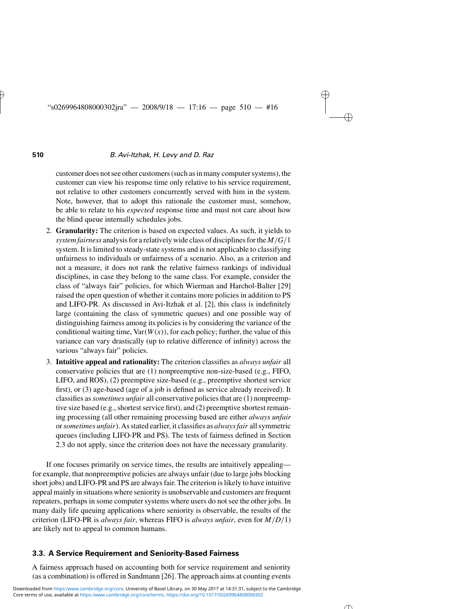customer does not see other customers (such as in many computer systems), the customer can view his response time only relative to his service requirement, not relative to other customers concurrently served with him in the system. Note, however, that to adopt this rationale the customer must, somehow, be able to relate to his *expected* response time and must not care about how the blind queue internally schedules jobs.

- 2. **Granularity:** The criterion is based on expected values. As such, it yields to *system fairness* analysis for a relatively wide class of disciplines for the *M/G/*1 system. It is limited to steady-state systems and is not applicable to classifying unfairness to individuals or unfairness of a scenario. Also, as a criterion and not a measure, it does not rank the relative fairness rankings of individual disciplines, in case they belong to the same class. For example, consider the class of "always fair" policies, for which Wierman and Harchol-Balter [29] raised the open question of whether it contains more policies in addition to PS and LIFO-PR. As discussed in Avi-Itzhak et al. [2], this class is indefinitely large (containing the class of symmetric queues) and one possible way of distinguishing fairness among its policies is by considering the variance of the conditional waiting time,  $Var(W(x))$ , for each policy; further, the value of this variance can vary drastically (up to relative difference of infinity) across the various "always fair" policies.
- 3. **Intuitive appeal and rationality:** The criterion classifies as *always unfair* all conservative policies that are (1) nonpreemptive non-size-based (e.g., FIFO, LIFO, and ROS), (2) preemptive size-based (e.g., preemptive shortest service first), or (3) age-based (age of a job is defined as service already received). It classifies as*sometimes unfair* all conservative policies that are (1) nonpreemptive size based (e.g., shortest service first), and (2) preemptive shortest remaining processing (all other remaining processing based are either *always unfair* or*sometimes unfair*).As stated earlier, it classifies as *always fair* all symmetric queues (including LIFO-PR and PS). The tests of fairness defined in Section 2.3 do not apply, since the criterion does not have the necessary granularity.

If one focuses primarily on service times, the results are intuitively appealing for example, that nonpreemptive policies are always unfair (due to large jobs blocking short jobs) and LIFO-PR and PS are always fair. The criterion is likely to have intuitive appeal mainly in situations where seniority is unobservable and customers are frequent repeaters, perhaps in some computer systems where users do not see the other jobs. In many daily life queuing applications where seniority is observable, the results of the criterion (LIFO-PR is *always fair*, whereas FIFO is *always unfair*, even for *M/D/*1) are likely not to appeal to common humans.

#### **3.3. A Service Requirement and Seniority-Based Fairness**

A fairness approach based on accounting both for service requirement and seniority (as a combination) is offered in Sandmann [26]. The approach aims at counting events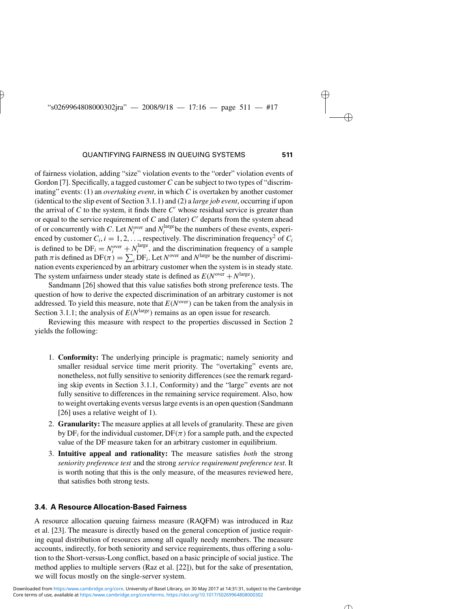of fairness violation, adding "size" violation events to the "order" violation events of Gordon [7]. Specifically, a tagged customer *C* can be subject to two types of "discriminating" events: (1) an *overtaking event*, in which *C* is overtaken by another customer (identical to the slip event of Section 3.1.1) and (2) a *large job event*, occurring if upon the arrival of  $C$  to the system, it finds there  $C'$  whose residual service is greater than or equal to the service requirement of  $C$  and (later)  $C'$  departs from the system ahead of or concurrently with *C*. Let  $N_i^{\text{over}}$  and  $N_i^{\text{large}}$  be the numbers of these events, experienced by customer  $C_i$ ,  $i = 1, 2, \ldots$ , respectively. The discrimination frequency<sup>2</sup> of  $C_i$ is defined to be  $DF_i = N_i^{\text{over}} + N_i^{\text{large}}$ , and the discrimination frequency of a sample path  $\pi$  is defined as  $DF(\pi) = \sum_i DF_i$ . Let  $N^{\text{over}}$  and  $N^{\text{large}}$  be the number of discrimination events experienced by an arbitrary customer when the system is in steady state. The system unfairness under steady state is defined as  $E(N^{\text{over}} + N^{\text{large}})$ .

Sandmann [26] showed that this value satisfies both strong preference tests. The question of how to derive the expected discrimination of an arbitrary customer is not addressed. To yield this measure, note that  $E(N^{\text{over}})$  can be taken from the analysis in Section 3.1.1; the analysis of  $E(N^{\text{large}})$  remains as an open issue for research.

Reviewing this measure with respect to the properties discussed in Section 2 yields the following:

- 1. **Conformity:** The underlying principle is pragmatic; namely seniority and smaller residual service time merit priority. The "overtaking" events are, nonetheless, not fully sensitive to seniority differences (see the remark regarding skip events in Section 3.1.1, Conformity) and the "large" events are not fully sensitive to differences in the remaining service requirement. Also, how to weight overtaking events versus large events is an open question (Sandmann [26] uses a relative weight of 1).
- 2. **Granularity:** The measure applies at all levels of granularity. These are given by  $DF_i$  for the individual customer,  $DF(\pi)$  for a sample path, and the expected value of the DF measure taken for an arbitrary customer in equilibrium.
- 3. **Intuitive appeal and rationality:** The measure satisfies *both* the strong *seniority preference test* and the strong *service requirement preference test*. It is worth noting that this is the only measure, of the measures reviewed here, that satisfies both strong tests.

#### **3.4. A Resource Allocation-Based Fairness**

A resource allocation queuing fairness measure (RAQFM) was introduced in Raz et al. [23]. The measure is directly based on the general conception of justice requiring equal distribution of resources among all equally needy members. The measure accounts, indirectly, for both seniority and service requirements, thus offering a solution to the Short-versus-Long conflict, based on a basic principle of social justice. The method applies to multiple servers (Raz et al. [22]), but for the sake of presentation, we will focus mostly on the single-server system.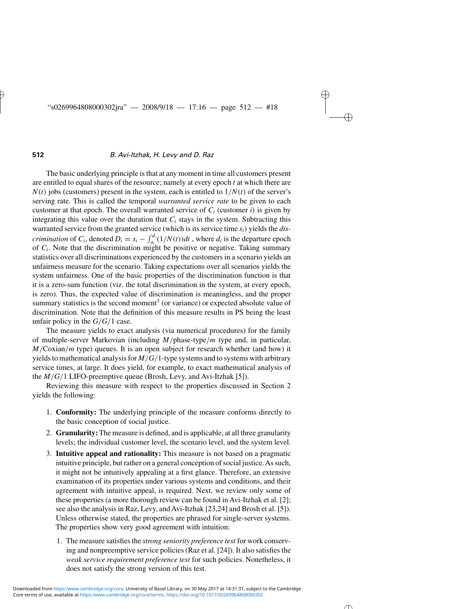The basic underlying principle is that at any moment in time all customers present are entitled to equal shares of the resource; namely at every epoch *t* at which there are  $N(t)$  jobs (customers) present in the system, each is entitled to  $1/N(t)$  of the server's serving rate. This is called the temporal *warranted service rate* to be given to each customer at that epoch. The overall warranted service of  $C_i$  (customer *i*) is given by integrating this value over the duration that  $C_i$  stays in the system. Subtracting this warranted service from the granted service (which is its service time *si)* yields the *discrimination* of *C<sub>i</sub>*, denoted  $D_i = s_i - \int_{a_i}^{d_i} (1/N(t)) dt$ , where  $d_i$  is the departure epoch of *Ci*. Note that the discrimination might be positive or negative. Taking summary statistics over all discriminations experienced by the customers in a scenario yields an unfairness measure for the scenario. Taking expectations over all scenarios yields the system unfairness. One of the basic properties of the discrimination function is that it is a zero-sum function (viz. the total discrimination in the system, at every epoch, is zero). Thus, the expected value of discrimination is meaningless, and the proper summary statistics is the second moment<sup>3</sup> (or variance) or expected absolute value of discrimination. Note that the definition of this measure results in PS being the least unfair policy in the  $G/G/1$  case.

The measure yields to exact analysis (via numerical procedures) for the family of multiple-server Markovian (including *M/*phase-type*/m* type and, in particular, *M/*Coxian*/m* type) queues. It is an open subject for research whether (and how) it yields to mathematical analysis for *M/G/*1-type systems and to systems with arbitrary service times, at large. It does yield, for example, to exact mathematical analysis of the *M/G/*1 LIFO-preemptive queue (Brosh, Levy, and Avi-Itzhak [5]).

Reviewing this measure with respect to the properties discussed in Section 2 yields the following:

- 1. **Conformity:** The underlying principle of the measure conforms directly to the basic conception of social justice.
- 2. **Granularity:**The measure is defined, and is applicable, at all three granularity levels; the individual customer level, the scenario level, and the system level.
- 3. **Intuitive appeal and rationality:** This measure is not based on a pragmatic intuitive principle, but rather on a general conception of social justice.As such, it might not be intuitively appealing at a first glance. Therefore, an extensive examination of its properties under various systems and conditions, and their agreement with intuitive appeal, is required. Next, we review only some of these properties (a more thorough review can be found in Avi-Itzhak et al. [2]; see also the analysis in Raz, Levy, and Avi-Itzhak [23,24] and Brosh et al. [5]). Unless otherwise stated, the properties are phrased for single-server systems. The properties show very good agreement with intuition:
	- 1. The measure satisfies the *strong seniority preference test* for work conserving and nonpreemptive service policies (Raz et al. [24]). It also satisfies the *weak service requirement preference test* for such policies. Nonetheless, it does not satisfy the strong version of this test.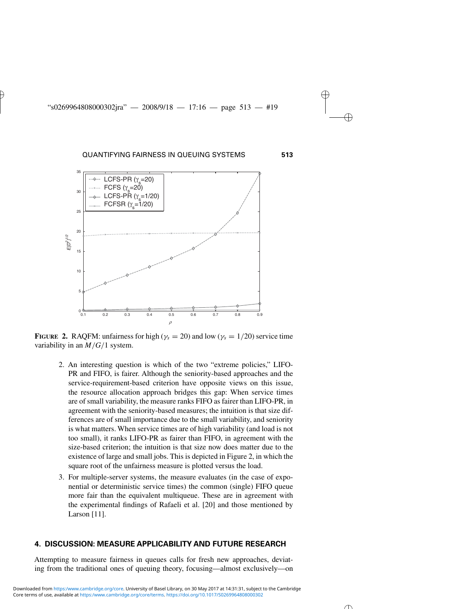

**FIGURE** 2. RAQFM: unfairness for high ( $\gamma_s = 20$ ) and low ( $\gamma_s = 1/20$ ) service time variability in an *M/G/*1 system.

- 2. An interesting question is which of the two "extreme policies," LIFO-PR and FIFO, is fairer. Although the seniority-based approaches and the service-requirement-based criterion have opposite views on this issue, the resource allocation approach bridges this gap: When service times are of small variability, the measure ranks FIFO as fairer than LIFO-PR, in agreement with the seniority-based measures; the intuition is that size differences are of small importance due to the small variability, and seniority is what matters. When service times are of high variability (and load is not too small), it ranks LIFO-PR as fairer than FIFO, in agreement with the size-based criterion; the intuition is that size now does matter due to the existence of large and small jobs. This is depicted in Figure 2, in which the square root of the unfairness measure is plotted versus the load.
- 3. For multiple-server systems, the measure evaluates (in the case of exponential or deterministic service times) the common (single) FIFO queue more fair than the equivalent multiqueue. These are in agreement with the experimental findings of Rafaeli et al. [20] and those mentioned by Larson [11].

#### **4. DISCUSSION: MEASURE APPLICABILITY AND FUTURE RESEARCH**

Attempting to measure fairness in queues calls for fresh new approaches, deviating from the traditional ones of queuing theory, focusing—almost exclusively—on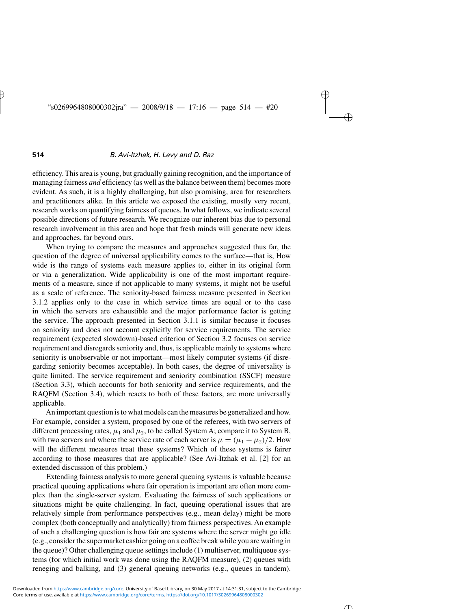efficiency. This area is young, but gradually gaining recognition, and the importance of managing fairness *and* efficiency (as well as the balance between them) becomes more evident. As such, it is a highly challenging, but also promising, area for researchers and practitioners alike. In this article we exposed the existing, mostly very recent, research works on quantifying fairness of queues. In what follows, we indicate several possible directions of future research. We recognize our inherent bias due to personal research involvement in this area and hope that fresh minds will generate new ideas and approaches, far beyond ours.

When trying to compare the measures and approaches suggested thus far, the question of the degree of universal applicability comes to the surface—that is, How wide is the range of systems each measure applies to, either in its original form or via a generalization. Wide applicability is one of the most important requirements of a measure, since if not applicable to many systems, it might not be useful as a scale of reference. The seniority-based fairness measure presented in Section 3.1.2 applies only to the case in which service times are equal or to the case in which the servers are exhaustible and the major performance factor is getting the service. The approach presented in Section 3.1.1 is similar because it focuses on seniority and does not account explicitly for service requirements. The service requirement (expected slowdown)-based criterion of Section 3.2 focuses on service requirement and disregards seniority and, thus, is applicable mainly to systems where seniority is unobservable or not important—most likely computer systems (if disregarding seniority becomes acceptable). In both cases, the degree of universality is quite limited. The service requirement and seniority combination (SSCF) measure (Section 3.3), which accounts for both seniority and service requirements, and the RAQFM (Section 3.4), which reacts to both of these factors, are more universally applicable.

An important question is to what models can the measures be generalized and how. For example, consider a system, proposed by one of the referees, with two servers of different processing rates,  $\mu_1$  and  $\mu_2$ , to be called System A; compare it to System B, with two servers and where the service rate of each server is  $\mu = (\mu_1 + \mu_2)/2$ . How will the different measures treat these systems? Which of these systems is fairer according to those measures that are applicable? (See Avi-Itzhak et al. [2] for an extended discussion of this problem.)

Extending fairness analysis to more general queuing systems is valuable because practical queuing applications where fair operation is important are often more complex than the single-server system. Evaluating the fairness of such applications or situations might be quite challenging. In fact, queuing operational issues that are relatively simple from performance perspectives (e.g., mean delay) might be more complex (both conceptually and analytically) from fairness perspectives. An example of such a challenging question is how fair are systems where the server might go idle (e.g., consider the supermarket cashier going on a coffee break while you are waiting in the queue)? Other challenging queue settings include (1) multiserver, multiqueue systems (for which initial work was done using the RAQFM measure), (2) queues with reneging and balking, and (3) general queuing networks (e.g., queues in tandem).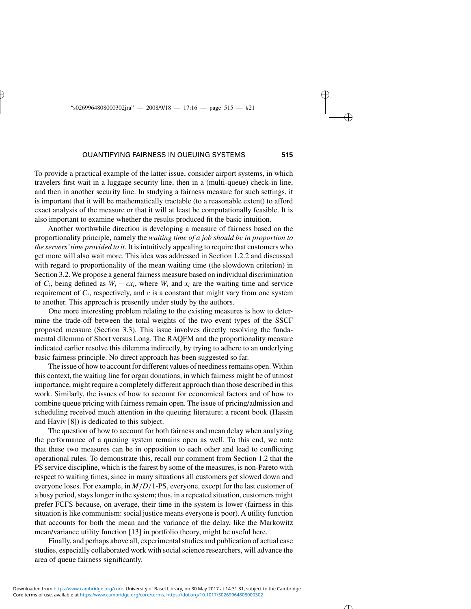To provide a practical example of the latter issue, consider airport systems, in which travelers first wait in a luggage security line, then in a (multi-queue) check-in line, and then in another security line. In studying a fairness measure for such settings, it is important that it will be mathematically tractable (to a reasonable extent) to afford exact analysis of the measure or that it will at least be computationally feasible. It is also important to examine whether the results produced fit the basic intuition.

Another worthwhile direction is developing a measure of fairness based on the proportionality principle, namely the *waiting time of a job should be in proportion to the servers'time provided to it*. It is intuitively appealing to require that customers who get more will also wait more. This idea was addressed in Section 1.2.2 and discussed with regard to proportionality of the mean waiting time (the slowdown criterion) in Section 3.2. We propose a general fairness measure based on individual discrimination of  $C_i$ , being defined as  $W_i - cx_i$ , where  $W_i$  and  $x_i$  are the waiting time and service requirement of  $C_i$ , respectively, and  $c$  is a constant that might vary from one system to another. This approach is presently under study by the authors.

One more interesting problem relating to the existing measures is how to determine the trade-off between the total weights of the two event types of the SSCF proposed measure (Section 3.3). This issue involves directly resolving the fundamental dilemma of Short versus Long. The RAQFM and the proportionality measure indicated earlier resolve this dilemma indirectly, by trying to adhere to an underlying basic fairness principle. No direct approach has been suggested so far.

The issue of how to account for different values of neediness remains open. Within this context, the waiting line for organ donations, in which fairness might be of utmost importance, might require a completely different approach than those described in this work. Similarly, the issues of how to account for economical factors and of how to combine queue pricing with fairness remain open. The issue of pricing/admission and scheduling received much attention in the queuing literature; a recent book (Hassin and Haviv [8]) is dedicated to this subject.

The question of how to account for both fairness and mean delay when analyzing the performance of a queuing system remains open as well. To this end, we note that these two measures can be in opposition to each other and lead to conflicting operational rules. To demonstrate this, recall our comment from Section 1.2 that the PS service discipline, which is the fairest by some of the measures, is non-Pareto with respect to waiting times, since in many situations all customers get slowed down and everyone loses. For example, in *M/D/*1-PS, everyone, except for the last customer of a busy period, stays longer in the system; thus, in a repeated situation, customers might prefer FCFS because, on average, their time in the system is lower (fairness in this situation is like communism: social justice means everyone is poor). A utility function that accounts for both the mean and the variance of the delay, like the Markowitz mean/variance utility function [13] in portfolio theory, might be useful here.

Finally, and perhaps above all, experimental studies and publication of actual case studies, especially collaborated work with social science researchers, will advance the area of queue fairness significantly.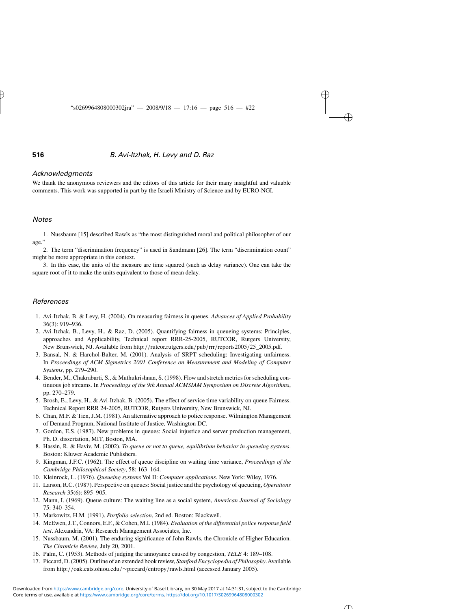#### *Acknowledgments*

We thank the anonymous reviewers and the editors of this article for their many insightful and valuable comments. This work was supported in part by the Israeli Ministry of Science and by EURO-NGI.

#### *Notes*

1. Nussbaum [15] described Rawls as "the most distinguished moral and political philosopher of our age."

2. The term "discrimination frequency" is used in Sandmann [26]. The term "discrimination count" might be more appropriate in this context.

3. In this case, the units of the measure are time squared (such as delay variance). One can take the square root of it to make the units equivalent to those of mean delay.

#### *References*

- 1. Avi-Itzhak, B. & Levy, H. (2004). On measuring fairness in queues. *Advances of Applied Probability* 36(3): 919–936.
- 2. Avi-Itzhak, B., Levy, H., & Raz, D. (2005). Quantifying fairness in queueing systems: Principles, approaches and Applicability, Technical report RRR-25-2005, RUTCOR, Rutgers University, New Brunswick, NJ. Available from http:*//*rutcor.rutgers.edu*/*pub*/*rrr*/*reports2005*/*25\_2005.pdf.
- 3. Bansal, N. & Harchol-Balter, M. (2001). Analysis of SRPT scheduling: Investigating unfairness. In *Proceedings of ACM Sigmetrics 2001 Conference on Measurement and Modeling of Computer Systems*, pp. 279–290.
- 4. Bender, M., Chakrabarti, S., & Muthukrishnan, S. (1998). Flow and stretch metrics for scheduling continuous job streams. In *Proceedings of the 9th Annual ACMSIAM Symposium on Discrete Algorithms*, pp. 270–279.
- 5. Brosh, E., Levy, H., & Avi-Itzhak, B. (2005). The effect of service time variability on queue Fairness. Technical Report RRR 24-2005, RUTCOR, Rutgers University, New Brunswick, NJ.
- 6. Chan, M.F. & Tien, J.M. (1981). An alternative approach to police response. Wilmington Management of Demand Program, National Institute of Justice, Washington DC.
- 7. Gordon, E.S. (1987). New problems in queues: Social injustice and server production management, Ph. D. dissertation, MIT, Boston, MA.
- 8. Hassin, R. & Haviv, M. (2002). *To queue or not to queue, equilibrium behavior in queueing systems*. Boston: Kluwer Academic Publishers.
- 9. Kingman, J.F.C. (1962). The effect of queue discipline on waiting time variance, *Proceedings of the Cambridge Philosophical Society*, 58: 163–164.
- 10. Kleinrock, L. (1976). *Queueing systems* Vol II: *Computer applications*. New York: Wiley, 1976.
- 11. Larson, R.C. (1987). Perspective on queues: Social justice and the psychology of queueing, *Operations Research* 35(6): 895–905.
- 12. Mann, I. (1969). Queue culture: The waiting line as a social system, *American Journal of Sociology* 75: 340–354.
- 13. Markowitz, H.M. (1991). *Portfolio selection*, 2nd ed. Boston: Blackwell.
- 14. McEwen, J.T., Connors, E.F., & Cohen, M.I. (1984). *Evaluation of the differential police response field test*. Alexandria, VA: Research Management Associates, Inc.
- 15. Nussbaum, M. (2001). The enduring significance of John Rawls, the Chronicle of Higher Education. *The Chronicle Review*, July 20, 2001.
- 16. Palm, C. (1953). Methods of judging the annoyance caused by congestion, *TELE* 4: 189–108.
- 17. Piccard, D. (2005). Outline of an extended book review, *Stanford Encyclopedia of Philosophy*.Available from http:*//*oak.cats.ohiou.edu*/*∼piccard*/*entropy*/*rawls.html (accessed January 2005).